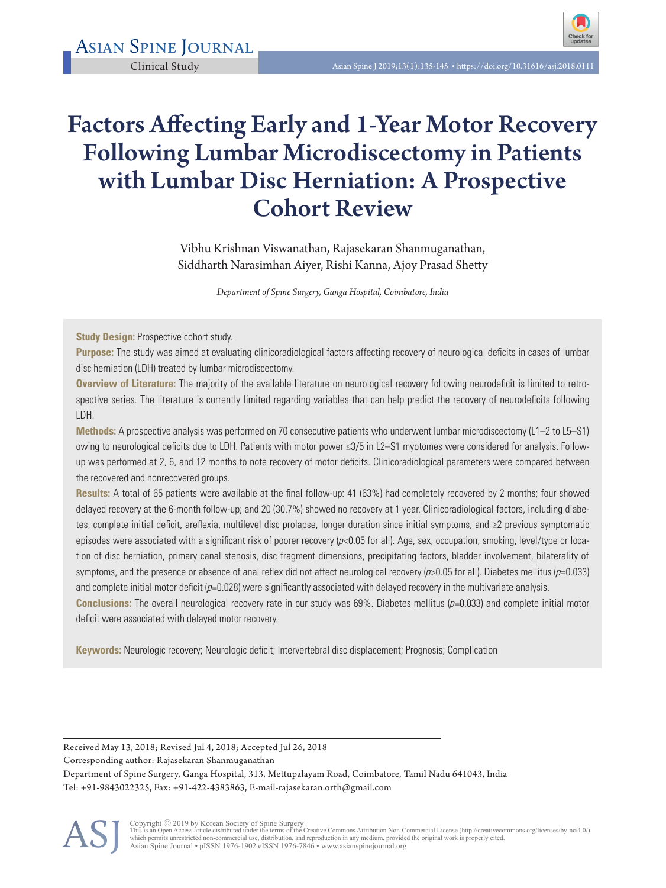

# Factors Affecting Early and 1-Year Motor Recovery Following Lumbar Microdiscectomy in Patients with Lumbar Disc Herniation: A Prospective Cohort Review

Vibhu Krishnan Viswanathan, Rajasekaran Shanmuganathan, Siddharth Narasimhan Aiyer, Rishi Kanna, Ajoy Prasad Shetty

*Department of Spine Surgery, Ganga Hospital, Coimbatore, India*

**Study Design: Prospective cohort study.** 

**Purpose:** The study was aimed at evaluating clinicoradiological factors affecting recovery of neurological deficits in cases of lumbar disc herniation (LDH) treated by lumbar microdiscectomy.

**Overview of Literature:** The majority of the available literature on neurological recovery following neurodeficit is limited to retrospective series. The literature is currently limited regarding variables that can help predict the recovery of neurodeficits following LDH.

**Methods:** A prospective analysis was performed on 70 consecutive patients who underwent lumbar microdiscectomy (L1–2 to L5–S1) owing to neurological deficits due to LDH. Patients with motor power ≤3/5 in L2–S1 myotomes were considered for analysis. Followup was performed at 2, 6, and 12 months to note recovery of motor deficits. Clinicoradiological parameters were compared between the recovered and nonrecovered groups.

**Results:** A total of 65 patients were available at the final follow-up: 41 (63%) had completely recovered by 2 months; four showed delayed recovery at the 6-month follow-up; and 20 (30.7%) showed no recovery at 1 year. Clinicoradiological factors, including diabetes, complete initial deficit, areflexia, multilevel disc prolapse, longer duration since initial symptoms, and ≥2 previous symptomatic episodes were associated with a significant risk of poorer recovery  $(p<0.05$  for all). Age, sex, occupation, smoking, level/type or location of disc herniation, primary canal stenosis, disc fragment dimensions, precipitating factors, bladder involvement, bilaterality of symptoms, and the presence or absence of anal reflex did not affect neurological recovery  $(p>0.05$  for all). Diabetes mellitus  $(p=0.033)$ and complete initial motor deficit  $(p=0.028)$  were significantly associated with delayed recovery in the multivariate analysis.

**Conclusions:** The overall neurological recovery rate in our study was 69%. Diabetes mellitus (p=0.033) and complete initial motor deficit were associated with delayed motor recovery.

**Keywords:** Neurologic recovery; Neurologic deficit; Intervertebral disc displacement; Prognosis; Complication

Received May 13, 2018; Revised Jul 4, 2018; Accepted Jul 26, 2018 Corresponding author: Rajasekaran Shanmuganathan Department of Spine Surgery, Ganga Hospital, 313, Mettupalayam Road, Coimbatore, Tamil Nadu 641043, India Tel: +91-9843022325, Fax: +91-422-4383863, E-mail-rajasekaran.orth@gmail.com

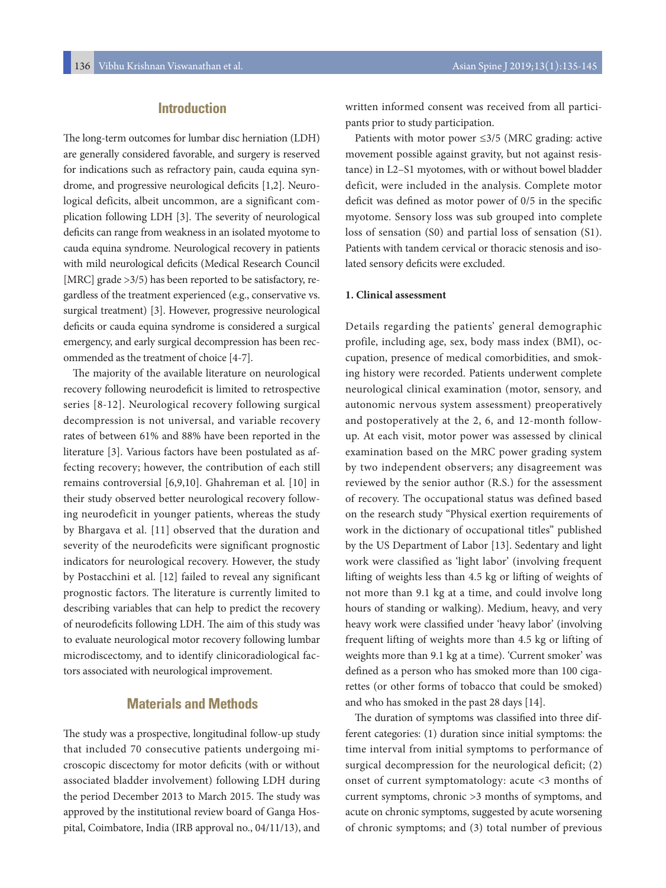# **Introduction**

The long-term outcomes for lumbar disc herniation (LDH) are generally considered favorable, and surgery is reserved for indications such as refractory pain, cauda equina syndrome, and progressive neurological deficits [1,2]. Neurological deficits, albeit uncommon, are a significant complication following LDH [3]. The severity of neurological deficits can range from weakness in an isolated myotome to cauda equina syndrome. Neurological recovery in patients with mild neurological deficits (Medical Research Council [MRC] grade >3/5) has been reported to be satisfactory, regardless of the treatment experienced (e.g., conservative vs. surgical treatment) [3]. However, progressive neurological deficits or cauda equina syndrome is considered a surgical emergency, and early surgical decompression has been recommended as the treatment of choice [4-7].

The majority of the available literature on neurological recovery following neurodeficit is limited to retrospective series [8-12]. Neurological recovery following surgical decompression is not universal, and variable recovery rates of between 61% and 88% have been reported in the literature [3]. Various factors have been postulated as affecting recovery; however, the contribution of each still remains controversial [6,9,10]. Ghahreman et al. [10] in their study observed better neurological recovery following neurodeficit in younger patients, whereas the study by Bhargava et al. [11] observed that the duration and severity of the neurodeficits were significant prognostic indicators for neurological recovery. However, the study by Postacchini et al. [12] failed to reveal any significant prognostic factors. The literature is currently limited to describing variables that can help to predict the recovery of neurodeficits following LDH. The aim of this study was to evaluate neurological motor recovery following lumbar microdiscectomy, and to identify clinicoradiological factors associated with neurological improvement.

# **Materials and Methods**

The study was a prospective, longitudinal follow-up study that included 70 consecutive patients undergoing microscopic discectomy for motor deficits (with or without associated bladder involvement) following LDH during the period December 2013 to March 2015. The study was approved by the institutional review board of Ganga Hospital, Coimbatore, India (IRB approval no., 04/11/13), and

written informed consent was received from all participants prior to study participation.

Patients with motor power ≤3/5 (MRC grading: active movement possible against gravity, but not against resistance) in L2–S1 myotomes, with or without bowel bladder deficit, were included in the analysis. Complete motor deficit was defined as motor power of 0/5 in the specific myotome. Sensory loss was sub grouped into complete loss of sensation (S0) and partial loss of sensation (S1). Patients with tandem cervical or thoracic stenosis and isolated sensory deficits were excluded.

### **1. Clinical assessment**

Details regarding the patients' general demographic profile, including age, sex, body mass index (BMI), occupation, presence of medical comorbidities, and smoking history were recorded. Patients underwent complete neurological clinical examination (motor, sensory, and autonomic nervous system assessment) preoperatively and postoperatively at the 2, 6, and 12-month followup. At each visit, motor power was assessed by clinical examination based on the MRC power grading system by two independent observers; any disagreement was reviewed by the senior author (R.S.) for the assessment of recovery. The occupational status was defined based on the research study "Physical exertion requirements of work in the dictionary of occupational titles" published by the US Department of Labor [13]. Sedentary and light work were classified as 'light labor' (involving frequent lifting of weights less than 4.5 kg or lifting of weights of not more than 9.1 kg at a time, and could involve long hours of standing or walking). Medium, heavy, and very heavy work were classified under 'heavy labor' (involving frequent lifting of weights more than 4.5 kg or lifting of weights more than 9.1 kg at a time). 'Current smoker' was defined as a person who has smoked more than 100 cigarettes (or other forms of tobacco that could be smoked) and who has smoked in the past 28 days [14].

The duration of symptoms was classified into three different categories: (1) duration since initial symptoms: the time interval from initial symptoms to performance of surgical decompression for the neurological deficit; (2) onset of current symptomatology: acute <3 months of current symptoms, chronic >3 months of symptoms, and acute on chronic symptoms, suggested by acute worsening of chronic symptoms; and (3) total number of previous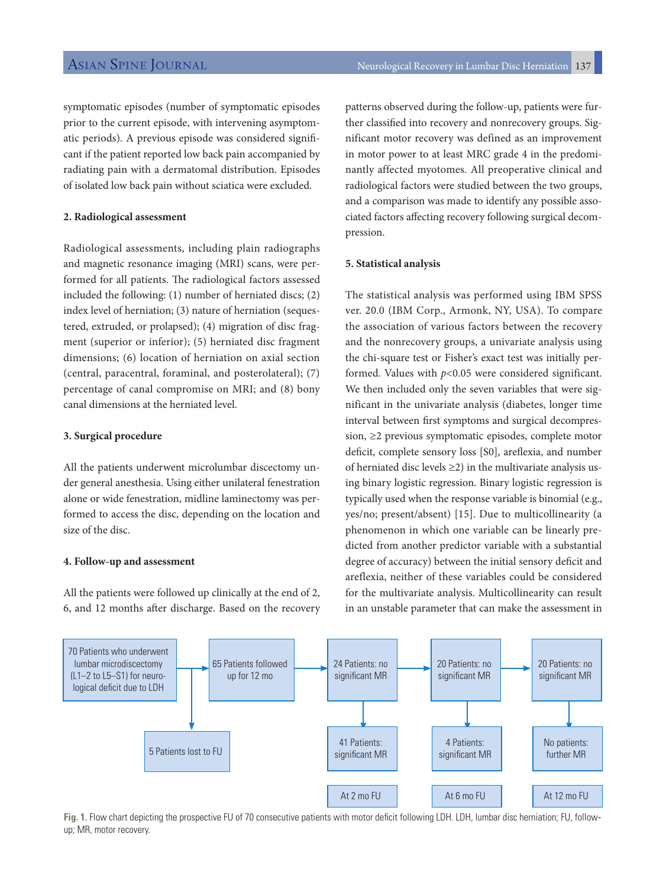symptomatic episodes (number of symptomatic episodes prior to the current episode, with intervening asymptomatic periods). A previous episode was considered significant if the patient reported low back pain accompanied by radiating pain with a dermatomal distribution. Episodes of isolated low back pain without sciatica were excluded.

#### **2. Radiological assessment**

Radiological assessments, including plain radiographs and magnetic resonance imaging (MRI) scans, were performed for all patients. The radiological factors assessed included the following: (1) number of herniated discs; (2) index level of herniation; (3) nature of herniation (sequestered, extruded, or prolapsed); (4) migration of disc fragment (superior or inferior); (5) herniated disc fragment dimensions; (6) location of herniation on axial section (central, paracentral, foraminal, and posterolateral); (7) percentage of canal compromise on MRI; and (8) bony canal dimensions at the herniated level.

#### **3. Surgical procedure**

All the patients underwent microlumbar discectomy under general anesthesia. Using either unilateral fenestration alone or wide fenestration, midline laminectomy was performed to access the disc, depending on the location and size of the disc.

#### **4. Follow-up and assessment**

All the patients were followed up clinically at the end of 2, 6, and 12 months after discharge. Based on the recovery patterns observed during the follow-up, patients were further classified into recovery and nonrecovery groups. Significant motor recovery was defined as an improvement in motor power to at least MRC grade 4 in the predominantly affected myotomes. All preoperative clinical and radiological factors were studied between the two groups, and a comparison was made to identify any possible associated factors affecting recovery following surgical decompression.

### **5. Statistical analysis**

The statistical analysis was performed using IBM SPSS ver. 20.0 (IBM Corp., Armonk, NY, USA). To compare the association of various factors between the recovery and the nonrecovery groups, a univariate analysis using the chi-square test or Fisher's exact test was initially performed. Values with *p*<0.05 were considered significant. We then included only the seven variables that were significant in the univariate analysis (diabetes, longer time interval between first symptoms and surgical decompression, ≥2 previous symptomatic episodes, complete motor deficit, complete sensory loss [S0], areflexia, and number of herniated disc levels  $\geq$ 2) in the multivariate analysis using binary logistic regression. Binary logistic regression is typically used when the response variable is binomial (e.g., yes/no; present/absent) [15]. Due to multicollinearity (a phenomenon in which one variable can be linearly predicted from another predictor variable with a substantial degree of accuracy) between the initial sensory deficit and areflexia, neither of these variables could be considered for the multivariate analysis. Multicollinearity can result in an unstable parameter that can make the assessment in



**Fig. 1.** Flow chart depicting the prospective FU of 70 consecutive patients with motor deficit following LDH. LDH, lumbar disc herniation; FU, followup; MR, motor recovery.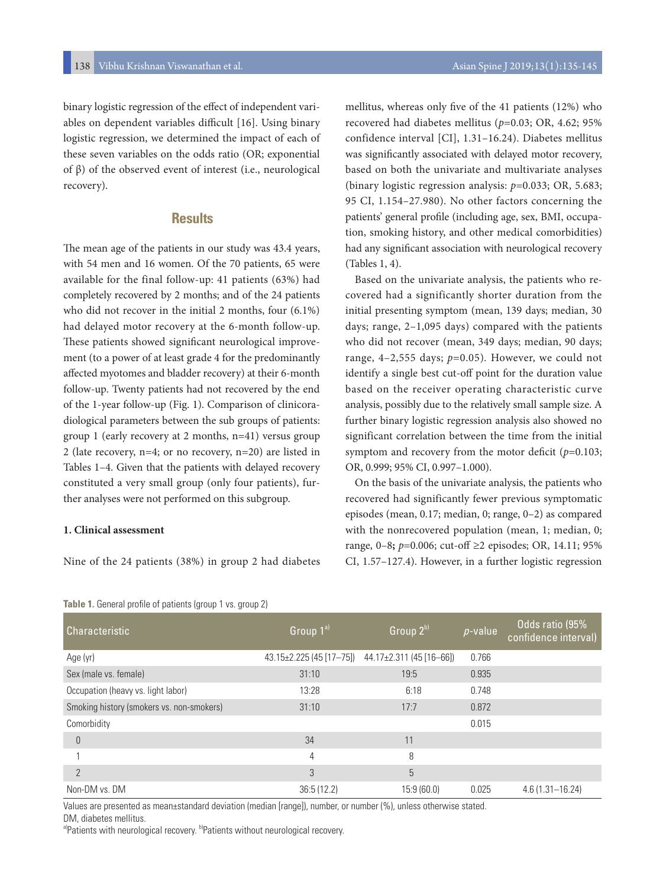binary logistic regression of the effect of independent variables on dependent variables difficult [16]. Using binary logistic regression, we determined the impact of each of these seven variables on the odds ratio (OR; exponential of β) of the observed event of interest (i.e., neurological recovery).

# **Results**

The mean age of the patients in our study was 43.4 years, with 54 men and 16 women. Of the 70 patients, 65 were available for the final follow-up: 41 patients (63%) had completely recovered by 2 months; and of the 24 patients who did not recover in the initial 2 months, four (6.1%) had delayed motor recovery at the 6-month follow-up. These patients showed significant neurological improvement (to a power of at least grade 4 for the predominantly affected myotomes and bladder recovery) at their 6-month follow-up. Twenty patients had not recovered by the end of the 1-year follow-up (Fig. 1). Comparison of clinicoradiological parameters between the sub groups of patients: group 1 (early recovery at 2 months, n=41) versus group 2 (late recovery, n=4; or no recovery, n=20) are listed in Tables 1–4. Given that the patients with delayed recovery constituted a very small group (only four patients), further analyses were not performed on this subgroup.

### **1. Clinical assessment**

Nine of the 24 patients (38%) in group 2 had diabetes

### **Table 1.** General profile of patients (group 1 vs. group 2)

mellitus, whereas only five of the 41 patients (12%) who recovered had diabetes mellitus (*p*=0.03; OR, 4.62; 95% confidence interval [CI], 1.31–16.24). Diabetes mellitus was significantly associated with delayed motor recovery, based on both the univariate and multivariate analyses (binary logistic regression analysis: *p*=0.033; OR, 5.683; 95 CI, 1.154–27.980). No other factors concerning the patients' general profile (including age, sex, BMI, occupation, smoking history, and other medical comorbidities) had any significant association with neurological recovery (Tables 1, 4).

Based on the univariate analysis, the patients who recovered had a significantly shorter duration from the initial presenting symptom (mean, 139 days; median, 30 days; range, 2–1,095 days) compared with the patients who did not recover (mean, 349 days; median, 90 days; range, 4–2,555 days; *p*=0.05)*.* However, we could not identify a single best cut-off point for the duration value based on the receiver operating characteristic curve analysis, possibly due to the relatively small sample size. A further binary logistic regression analysis also showed no significant correlation between the time from the initial symptom and recovery from the motor deficit  $(p=0.103;$ OR, 0.999; 95% CI, 0.997–1.000).

On the basis of the univariate analysis, the patients who recovered had significantly fewer previous symptomatic episodes (mean, 0.17; median, 0; range, 0–2) as compared with the nonrecovered population (mean, 1; median, 0; range, 0–8**;** *p*=0.006; cut-off ≥2 episodes; OR, 14.11; 95% CI, 1.57–127.4). However, in a further logistic regression

| <b>Characteristic</b>                     | Group 1 <sup>a)</sup>          | Group 2b)                    | $p$ -value | Odds ratio (95%<br>confidence interval) |
|-------------------------------------------|--------------------------------|------------------------------|------------|-----------------------------------------|
| Age (yr)                                  | $43.15 \pm 2.225$ (45 [17-75]) | $44.17\pm2.311$ (45 [16-66]) | 0.766      |                                         |
| Sex (male vs. female)                     | 31:10                          | 19:5                         | 0.935      |                                         |
| Occupation (heavy vs. light labor)        | 13:28                          | 6:18                         | 0.748      |                                         |
| Smoking history (smokers vs. non-smokers) | 31:10                          | 17:7                         | 0.872      |                                         |
| Comorbidity                               |                                |                              | 0.015      |                                         |
| 0                                         | 34                             | 11                           |            |                                         |
|                                           | 4                              | 8                            |            |                                         |
| $\mathcal{P}$                             | 3                              | 5                            |            |                                         |
| Non-DM vs. DM                             | 36:5(12.2)                     | 15:9(60.0)                   | 0.025      | $4.6(1.31 - 16.24)$                     |

Values are presented as mean±standard deviation (median [range]), number, or number (%), unless otherwise stated. DM, diabetes mellitus.

a)Patients with neurological recovery. b)Patients without neurological recovery.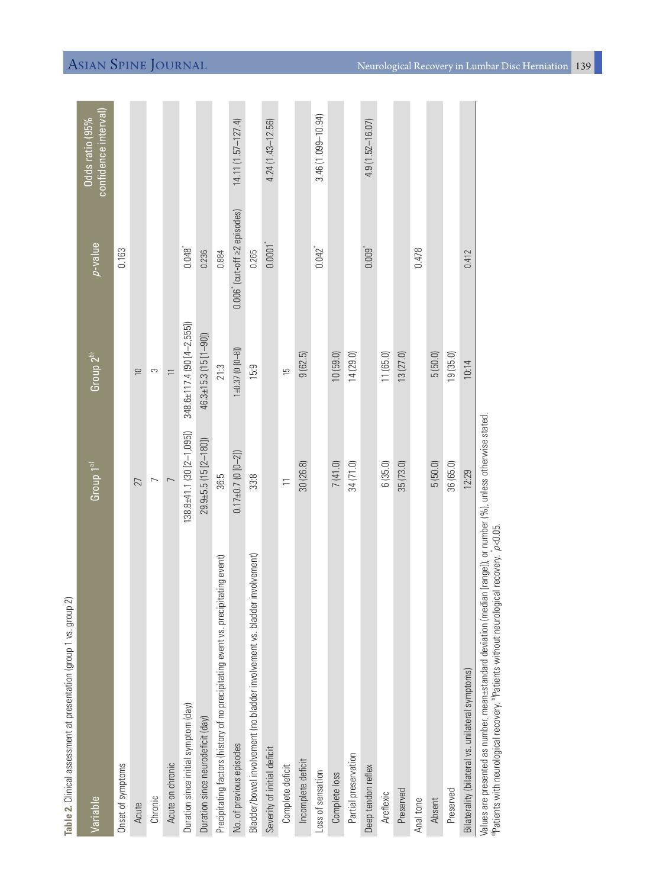| ส<br>Table 2. Clinical assessment at presentation (group 1 vs. group                                                                                                                                                                            |                                          |                             |                                     |                                        |
|-------------------------------------------------------------------------------------------------------------------------------------------------------------------------------------------------------------------------------------------------|------------------------------------------|-----------------------------|-------------------------------------|----------------------------------------|
| Variable                                                                                                                                                                                                                                        | $\sqrt{6}$ roup $\sqrt{1}$ <sup>a)</sup> | $G$ roup $2^{b}$            | $\rho$ -value                       | confidence interval)<br>Oddsratio (95% |
| Onset of symptoms                                                                                                                                                                                                                               |                                          |                             | 0.163                               |                                        |
| Acute                                                                                                                                                                                                                                           | 27                                       | $\equiv$                    |                                     |                                        |
| Chronic                                                                                                                                                                                                                                         | $\overline{ }$                           | S                           |                                     |                                        |
| Acute on chronic                                                                                                                                                                                                                                | $\overline{a}$                           | $\overline{1}$              |                                     |                                        |
| Duration since initial symptom (day)                                                                                                                                                                                                            | $138.8 + 41.1$ $(30 [2 - 1, 095])$       | 348.6±117.4 (90 [4-2,555])  | $0.048$ <sup>*</sup>                |                                        |
| Duration since neurodeficit (day)                                                                                                                                                                                                               | $29.9 + 5.5 (15 [2 - 180])$              | 46.3±15.3 (15 [1-90])       | 0.236                               |                                        |
| Precipitating factors (history of no precipitating event vs. precipitating event)                                                                                                                                                               | 36:5                                     | 21:3                        | 0.884                               |                                        |
| No. of previous episodes                                                                                                                                                                                                                        | $0.17 \pm 0.7$ (0 $[0 - 2]$ )            | $1 \pm 0.37$ (0 $[0 - 8]$ ) | $0.006$ (cut-off $\geq$ 2 episodes) | $14.11(1.57 - 127.4)$                  |
| Bladder/bowel involvement (no bladder involvement vs. bladder involvement)                                                                                                                                                                      | 33.8                                     | 15:9                        | 0.265                               |                                        |
| Severity of initial deficit                                                                                                                                                                                                                     |                                          |                             | $0.0001$ <sup>*</sup>               | $4.24(1.43 - 12.56)$                   |
| Complete deficit                                                                                                                                                                                                                                | $\equiv$                                 | $\overline{5}$              |                                     |                                        |
| Incomplete deficit                                                                                                                                                                                                                              | 30(26.8)                                 | 9(62.5)                     |                                     |                                        |
| Loss of sensation                                                                                                                                                                                                                               |                                          |                             | $0.042$ <sup>*</sup>                | $3.46(1.099 - 10.94)$                  |
| Complete loss                                                                                                                                                                                                                                   | 7(41.0)                                  | 10(59.0)                    |                                     |                                        |
| Partial preservation                                                                                                                                                                                                                            | 34 (71.0)                                | 14(29.0)                    |                                     |                                        |
| Deep tendon reflex                                                                                                                                                                                                                              |                                          |                             | $0.009$ <sup>*</sup>                | $4.9(1.52 - 16.07)$                    |
| Areflexic                                                                                                                                                                                                                                       | 6(35.0)                                  | 11 (65.0)                   |                                     |                                        |
| Preserved                                                                                                                                                                                                                                       | 35(73.0)                                 | 13(27.0)                    |                                     |                                        |
| Anal tone                                                                                                                                                                                                                                       |                                          |                             | 0.478                               |                                        |
| Absent                                                                                                                                                                                                                                          | 5(50.0)                                  | 5(50.0)                     |                                     |                                        |
| Preserved                                                                                                                                                                                                                                       | 36 (65.0)                                | 19(35.0)                    |                                     |                                        |
| Bilaterality (bilateral vs. unilateral symptoms)                                                                                                                                                                                                | 12:29                                    | 10:14                       | 0.412                               |                                        |
| Values are presented as number, mean-sstandard deviation (median [range]), or number (%), unless otherwise stated.<br><sup>ap</sup> atients with neurological recovery. <sup>b</sup> Patients without neurological recovery. <i>p&lt;</i> 0.05. |                                          |                             |                                     |                                        |

Asian Spine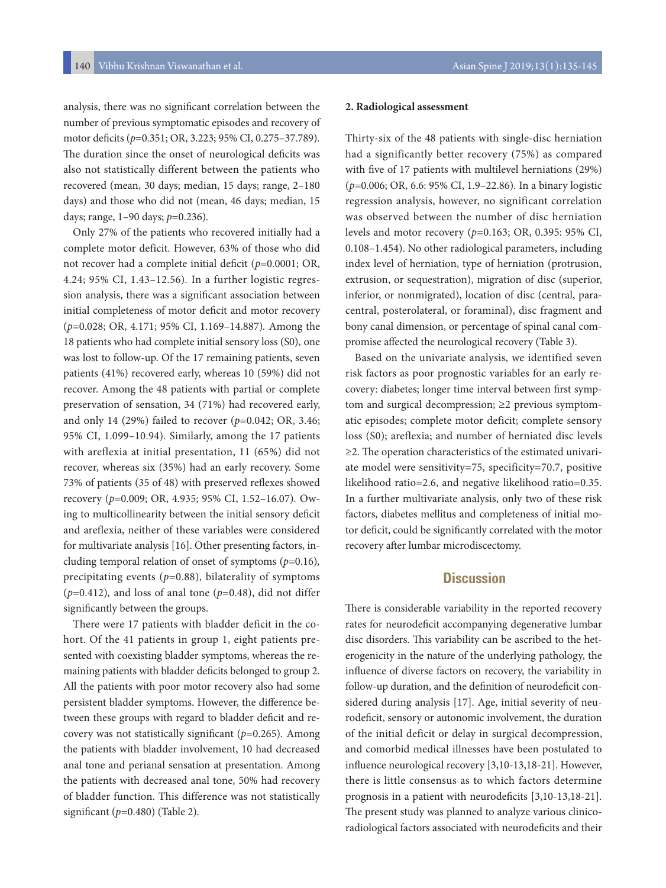analysis, there was no significant correlation between the number of previous symptomatic episodes and recovery of motor deficits (*p*=0.351; OR, 3.223; 95% CI, 0.275–37.789)*.*  The duration since the onset of neurological deficits was also not statistically different between the patients who recovered (mean, 30 days; median, 15 days; range, 2–180 days) and those who did not (mean, 46 days; median, 15 days; range, 1–90 days; *p*=0.236)*.*

Only 27% of the patients who recovered initially had a complete motor deficit. However, 63% of those who did not recover had a complete initial deficit (*p*=0.0001; OR, 4.24; 95% CI, 1.43–12.56)*.* In a further logistic regression analysis, there was a significant association between initial completeness of motor deficit and motor recovery (*p*=0.028; OR, 4.171; 95% CI, 1.169–14.887)*.* Among the 18 patients who had complete initial sensory loss (S0)*,* one was lost to follow-up. Of the 17 remaining patients, seven patients (41%) recovered early, whereas 10 (59%) did not recover. Among the 48 patients with partial or complete preservation of sensation, 34 (71%) had recovered early, and only 14 (29%) failed to recover (*p*=0.042; OR, 3.46; 95% CI, 1.099–10.94)*.* Similarly, among the 17 patients with areflexia at initial presentation, 11 (65%) did not recover, whereas six (35%) had an early recovery. Some 73% of patients (35 of 48) with preserved reflexes showed recovery (*p*=0.009; OR, 4.935; 95% CI, 1.52–16.07)*.* Owing to multicollinearity between the initial sensory deficit and areflexia, neither of these variables were considered for multivariate analysis [16]. Other presenting factors, including temporal relation of onset of symptoms (*p*=0.16)*,* precipitating events (*p*=0.88)*,* bilaterality of symptoms  $(p=0.412)$ , and loss of anal tone  $(p=0.48)$ , did not differ significantly between the groups.

There were 17 patients with bladder deficit in the cohort. Of the 41 patients in group 1, eight patients presented with coexisting bladder symptoms, whereas the remaining patients with bladder deficits belonged to group 2. All the patients with poor motor recovery also had some persistent bladder symptoms. However, the difference between these groups with regard to bladder deficit and recovery was not statistically significant (*p*=0.265)*.* Among the patients with bladder involvement, 10 had decreased anal tone and perianal sensation at presentation. Among the patients with decreased anal tone, 50% had recovery of bladder function. This difference was not statistically significant (*p=*0.480) (Table 2).

#### **2. Radiological assessment**

Thirty-six of the 48 patients with single-disc herniation had a significantly better recovery (75%) as compared with five of 17 patients with multilevel herniations (29%) (*p*=0.006; OR, 6.6: 95% CI, 1.9–22.86)*.* In a binary logistic regression analysis, however, no significant correlation was observed between the number of disc herniation levels and motor recovery (*p*=0.163; OR, 0.395: 95% CI, 0.108–1.454). No other radiological parameters, including index level of herniation, type of herniation (protrusion, extrusion, or sequestration), migration of disc (superior, inferior, or nonmigrated), location of disc (central, paracentral, posterolateral, or foraminal), disc fragment and bony canal dimension, or percentage of spinal canal compromise affected the neurological recovery (Table 3).

Based on the univariate analysis, we identified seven risk factors as poor prognostic variables for an early recovery: diabetes; longer time interval between first symptom and surgical decompression; ≥2 previous symptomatic episodes; complete motor deficit; complete sensory loss (S0); areflexia; and number of herniated disc levels ≥2. The operation characteristics of the estimated univariate model were sensitivity=75, specificity=70.7, positive likelihood ratio=2.6, and negative likelihood ratio=0.35. In a further multivariate analysis, only two of these risk factors, diabetes mellitus and completeness of initial motor deficit, could be significantly correlated with the motor recovery after lumbar microdiscectomy.

# **Discussion**

There is considerable variability in the reported recovery rates for neurodeficit accompanying degenerative lumbar disc disorders. This variability can be ascribed to the heterogenicity in the nature of the underlying pathology, the influence of diverse factors on recovery, the variability in follow-up duration, and the definition of neurodeficit considered during analysis [17]. Age, initial severity of neurodeficit, sensory or autonomic involvement, the duration of the initial deficit or delay in surgical decompression, and comorbid medical illnesses have been postulated to influence neurological recovery [3,10-13,18-21]. However, there is little consensus as to which factors determine prognosis in a patient with neurodeficits [3,10-13,18-21]. The present study was planned to analyze various clinicoradiological factors associated with neurodeficits and their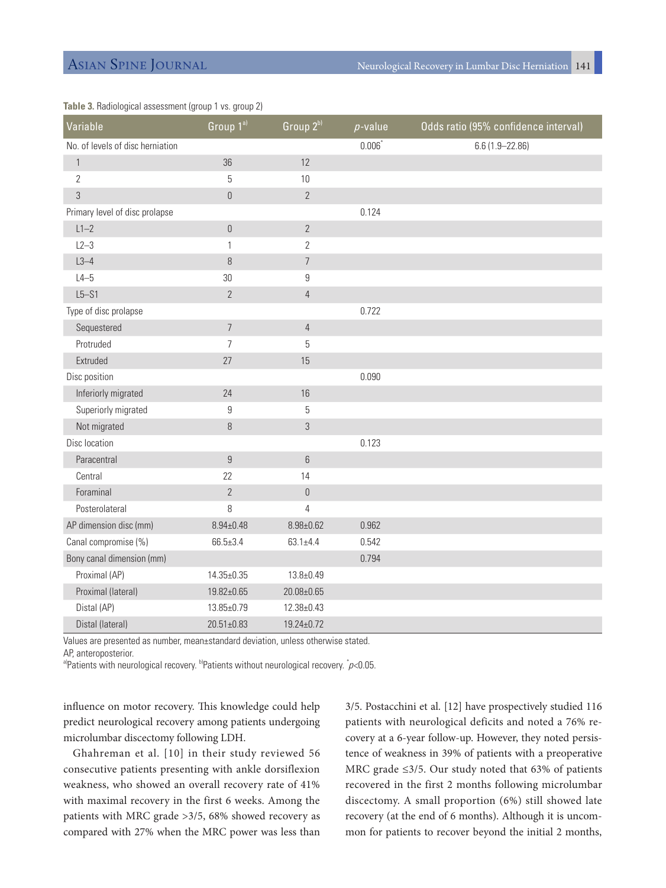| Variable                         | $G$ roup $1^{\text{a}}$ | Group 2b)        | $p$ -value | Odds ratio (95% confidence interval) |
|----------------------------------|-------------------------|------------------|------------|--------------------------------------|
| No. of levels of disc herniation |                         |                  | $0.006^*$  | $6.6(1.9 - 22.86)$                   |
| $\mathbf{1}$                     | 36                      | 12               |            |                                      |
| $\overline{2}$                   | 5                       | $10$             |            |                                      |
| 3                                | $\boldsymbol{0}$        | $\overline{2}$   |            |                                      |
| Primary level of disc prolapse   |                         |                  | 0.124      |                                      |
| $L1-2$                           | $\boldsymbol{0}$        | $\overline{2}$   |            |                                      |
| $L2-3$                           | $\mathbf{1}$            | $\mathbf{2}$     |            |                                      |
| $L3-4$                           | 8                       | $\overline{7}$   |            |                                      |
| $L4-5$                           | $30\,$                  | 9                |            |                                      |
| $L5 - S1$                        | $\overline{2}$          | $\overline{4}$   |            |                                      |
| Type of disc prolapse            |                         |                  | 0.722      |                                      |
| Sequestered                      | $\overline{7}$          | $\overline{4}$   |            |                                      |
| Protruded                        | $\overline{7}$          | 5                |            |                                      |
| Extruded                         | 27                      | 15               |            |                                      |
| Disc position                    |                         |                  | 0.090      |                                      |
| Inferiorly migrated              | 24                      | $16\,$           |            |                                      |
| Superiorly migrated              | 9                       | 5                |            |                                      |
| Not migrated                     | $\, 8$                  | $\mathfrak{Z}$   |            |                                      |
| Disc location                    |                         |                  | 0.123      |                                      |
| Paracentral                      | $\boldsymbol{9}$        | $6\,$            |            |                                      |
| Central                          | 22                      | 14               |            |                                      |
| Foraminal                        | $\overline{2}$          | $\boldsymbol{0}$ |            |                                      |
| Posterolateral                   | 8                       | $\overline{4}$   |            |                                      |
| AP dimension disc (mm)           | $8.94 \pm 0.48$         | $8.98 \pm 0.62$  | 0.962      |                                      |
| Canal compromise (%)             | $66.5 \pm 3.4$          | $63.1 \pm 4.4$   | 0.542      |                                      |
| Bony canal dimension (mm)        |                         |                  | 0.794      |                                      |
| Proximal (AP)                    | 14.35±0.35              | $13.8 + 0.49$    |            |                                      |
| Proximal (lateral)               | 19.82±0.65              | 20.08±0.65       |            |                                      |
| Distal (AP)                      | 13.85±0.79              | 12.38±0.43       |            |                                      |
| Distal (lateral)                 | $20.51 \pm 0.83$        | 19.24±0.72       |            |                                      |

#### **Table 3.** Radiological assessment (group 1 vs. group 2)

Values are presented as number, mean±standard deviation, unless otherwise stated.

AP, anteroposterior.

a)Patients with neurological recovery. <sup>b)</sup>Patients without neurological recovery.  $\check{i}$  p<0.05.

influence on motor recovery. This knowledge could help predict neurological recovery among patients undergoing microlumbar discectomy following LDH.

Ghahreman et al. [10] in their study reviewed 56 consecutive patients presenting with ankle dorsiflexion weakness, who showed an overall recovery rate of 41% with maximal recovery in the first 6 weeks. Among the patients with MRC grade >3/5, 68% showed recovery as compared with 27% when the MRC power was less than 3/5. Postacchini et al. [12] have prospectively studied 116 patients with neurological deficits and noted a 76% recovery at a 6-year follow-up. However, they noted persistence of weakness in 39% of patients with a preoperative MRC grade ≤3/5. Our study noted that 63% of patients recovered in the first 2 months following microlumbar discectomy. A small proportion (6%) still showed late recovery (at the end of 6 months). Although it is uncommon for patients to recover beyond the initial 2 months,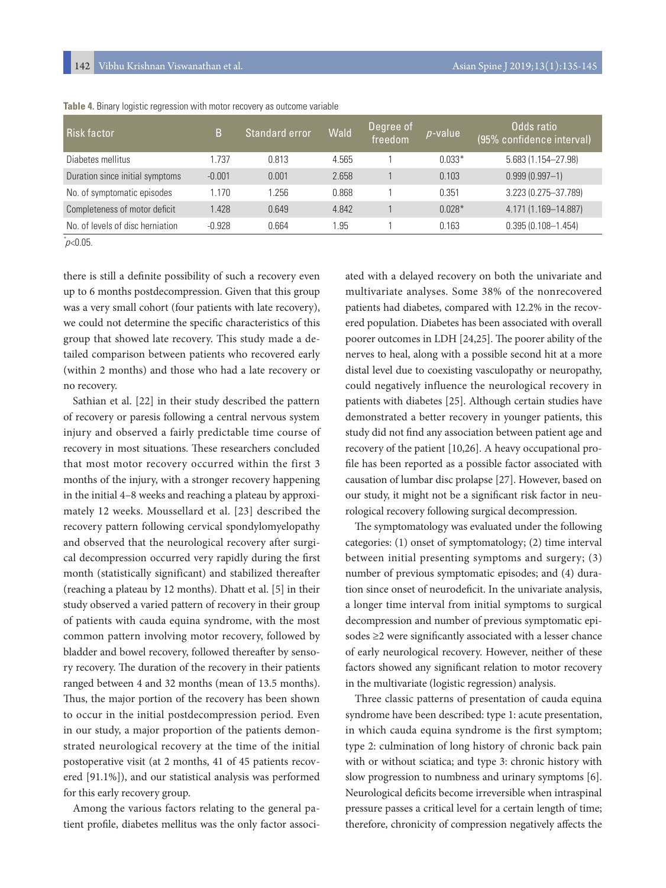| Risk factor                      | B        | Standard error | Wald  | Degree of<br>freedom | $p$ -value | Odds ratio<br>(95% confidence interval) |
|----------------------------------|----------|----------------|-------|----------------------|------------|-----------------------------------------|
| Diabetes mellitus                | .737     | 0.813          | 4.565 |                      | $0.033*$   | 5.683 (1.154-27.98)                     |
| Duration since initial symptoms  | $-0.001$ | 0.001          | 2.658 |                      | 0.103      | $0.999(0.997 - 1)$                      |
| No. of symptomatic episodes      | 1.170    | 1.256          | 0.868 |                      | 0.351      | 3.223 (0.275-37.789)                    |
| Completeness of motor deficit    | 1.428    | 0.649          | 4.842 |                      | $0.028*$   | 4.171 (1.169-14.887)                    |
| No. of levels of disc herniation | $-0.928$ | 0.664          | .95   |                      | 0.163      | $0.395(0.108 - 1.454)$                  |

**Table 4.** Binary logistic regression with motor recovery as outcome variable

 $p$ <0.05.

there is still a definite possibility of such a recovery even up to 6 months postdecompression. Given that this group was a very small cohort (four patients with late recovery), we could not determine the specific characteristics of this group that showed late recovery. This study made a detailed comparison between patients who recovered early (within 2 months) and those who had a late recovery or no recovery.

Sathian et al. [22] in their study described the pattern of recovery or paresis following a central nervous system injury and observed a fairly predictable time course of recovery in most situations. These researchers concluded that most motor recovery occurred within the first 3 months of the injury, with a stronger recovery happening in the initial 4–8 weeks and reaching a plateau by approximately 12 weeks. Moussellard et al. [23] described the recovery pattern following cervical spondylomyelopathy and observed that the neurological recovery after surgical decompression occurred very rapidly during the first month (statistically significant) and stabilized thereafter (reaching a plateau by 12 months). Dhatt et al. [5] in their study observed a varied pattern of recovery in their group of patients with cauda equina syndrome, with the most common pattern involving motor recovery, followed by bladder and bowel recovery, followed thereafter by sensory recovery. The duration of the recovery in their patients ranged between 4 and 32 months (mean of 13.5 months). Thus, the major portion of the recovery has been shown to occur in the initial postdecompression period. Even in our study, a major proportion of the patients demonstrated neurological recovery at the time of the initial postoperative visit (at 2 months, 41 of 45 patients recovered [91.1%]), and our statistical analysis was performed for this early recovery group.

Among the various factors relating to the general patient profile, diabetes mellitus was the only factor associated with a delayed recovery on both the univariate and multivariate analyses. Some 38% of the nonrecovered patients had diabetes, compared with 12.2% in the recovered population. Diabetes has been associated with overall poorer outcomes in LDH [24,25]. The poorer ability of the nerves to heal, along with a possible second hit at a more distal level due to coexisting vasculopathy or neuropathy, could negatively influence the neurological recovery in patients with diabetes [25]. Although certain studies have demonstrated a better recovery in younger patients, this study did not find any association between patient age and recovery of the patient [10,26]. A heavy occupational profile has been reported as a possible factor associated with causation of lumbar disc prolapse [27]. However, based on our study, it might not be a significant risk factor in neurological recovery following surgical decompression.

The symptomatology was evaluated under the following categories: (1) onset of symptomatology; (2) time interval between initial presenting symptoms and surgery; (3) number of previous symptomatic episodes; and (4) duration since onset of neurodeficit. In the univariate analysis, a longer time interval from initial symptoms to surgical decompression and number of previous symptomatic episodes ≥2 were significantly associated with a lesser chance of early neurological recovery. However, neither of these factors showed any significant relation to motor recovery in the multivariate (logistic regression) analysis.

Three classic patterns of presentation of cauda equina syndrome have been described: type 1: acute presentation, in which cauda equina syndrome is the first symptom; type 2: culmination of long history of chronic back pain with or without sciatica; and type 3: chronic history with slow progression to numbness and urinary symptoms [6]. Neurological deficits become irreversible when intraspinal pressure passes a critical level for a certain length of time; therefore, chronicity of compression negatively affects the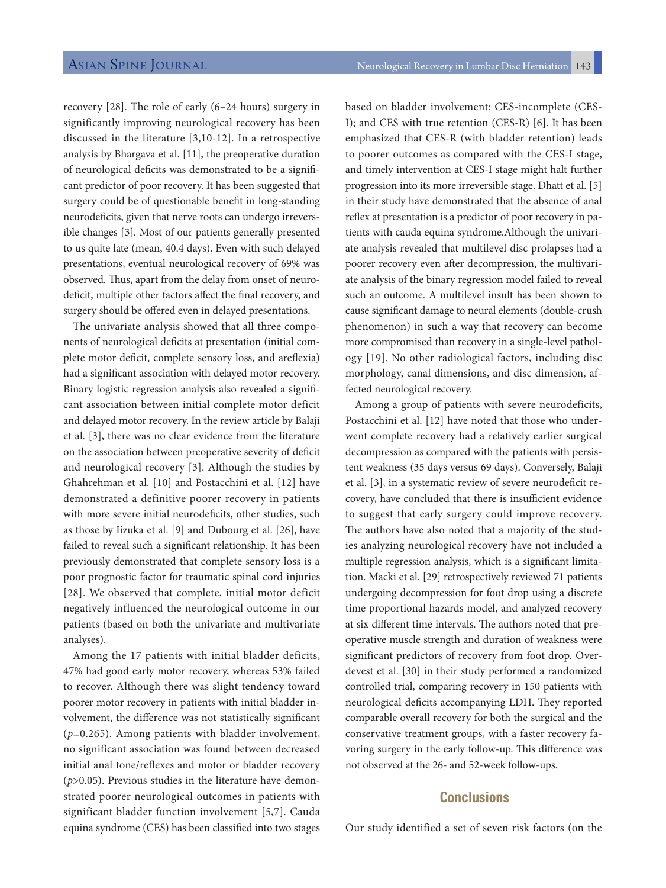recovery [28]. The role of early (6–24 hours) surgery in significantly improving neurological recovery has been discussed in the literature [3,10-12]. In a retrospective analysis by Bhargava et al. [11], the preoperative duration of neurological deficits was demonstrated to be a significant predictor of poor recovery. It has been suggested that surgery could be of questionable benefit in long-standing neurodeficits, given that nerve roots can undergo irreversible changes [3]. Most of our patients generally presented to us quite late (mean, 40.4 days). Even with such delayed presentations, eventual neurological recovery of 69% was observed. Thus, apart from the delay from onset of neurodeficit, multiple other factors affect the final recovery, and surgery should be offered even in delayed presentations.

The univariate analysis showed that all three components of neurological deficits at presentation (initial complete motor deficit, complete sensory loss, and areflexia) had a significant association with delayed motor recovery. Binary logistic regression analysis also revealed a significant association between initial complete motor deficit and delayed motor recovery. In the review article by Balaji et al. [3], there was no clear evidence from the literature on the association between preoperative severity of deficit and neurological recovery [3]. Although the studies by Ghahrehman et al. [10] and Postacchini et al. [12] have demonstrated a definitive poorer recovery in patients with more severe initial neurodeficits, other studies, such as those by Iizuka et al. [9] and Dubourg et al. [26], have failed to reveal such a significant relationship. It has been previously demonstrated that complete sensory loss is a poor prognostic factor for traumatic spinal cord injuries [28]. We observed that complete, initial motor deficit negatively influenced the neurological outcome in our patients (based on both the univariate and multivariate analyses).

Among the 17 patients with initial bladder deficits, 47% had good early motor recovery, whereas 53% failed to recover. Although there was slight tendency toward poorer motor recovery in patients with initial bladder involvement, the difference was not statistically significant (*p*=0.265). Among patients with bladder involvement, no significant association was found between decreased initial anal tone/reflexes and motor or bladder recovery (*p*>0.05). Previous studies in the literature have demonstrated poorer neurological outcomes in patients with significant bladder function involvement [5,7]. Cauda equina syndrome (CES) has been classified into two stages based on bladder involvement: CES-incomplete (CES-I); and CES with true retention (CES-R) [6]. It has been emphasized that CES-R (with bladder retention) leads to poorer outcomes as compared with the CES-I stage, and timely intervention at CES-I stage might halt further progression into its more irreversible stage. Dhatt et al. [5] in their study have demonstrated that the absence of anal reflex at presentation is a predictor of poor recovery in patients with cauda equina syndrome.Although the univariate analysis revealed that multilevel disc prolapses had a poorer recovery even after decompression, the multivariate analysis of the binary regression model failed to reveal such an outcome. A multilevel insult has been shown to cause significant damage to neural elements (double-crush phenomenon) in such a way that recovery can become more compromised than recovery in a single-level pathology [19]. No other radiological factors, including disc morphology, canal dimensions, and disc dimension, affected neurological recovery.

Among a group of patients with severe neurodeficits, Postacchini et al. [12] have noted that those who underwent complete recovery had a relatively earlier surgical decompression as compared with the patients with persistent weakness (35 days versus 69 days). Conversely, Balaji et al. [3], in a systematic review of severe neurodeficit recovery, have concluded that there is insufficient evidence to suggest that early surgery could improve recovery. The authors have also noted that a majority of the studies analyzing neurological recovery have not included a multiple regression analysis, which is a significant limitation. Macki et al. [29] retrospectively reviewed 71 patients undergoing decompression for foot drop using a discrete time proportional hazards model, and analyzed recovery at six different time intervals. The authors noted that preoperative muscle strength and duration of weakness were significant predictors of recovery from foot drop. Overdevest et al. [30] in their study performed a randomized controlled trial, comparing recovery in 150 patients with neurological deficits accompanying LDH. They reported comparable overall recovery for both the surgical and the conservative treatment groups, with a faster recovery favoring surgery in the early follow-up. This difference was not observed at the 26- and 52-week follow-ups.

# **Conclusions**

Our study identified a set of seven risk factors (on the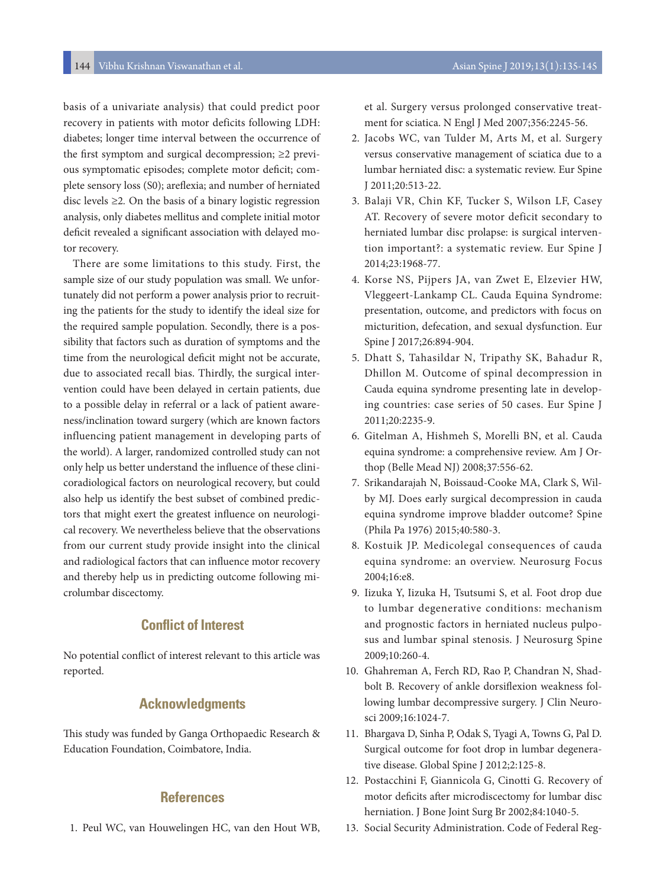basis of a univariate analysis) that could predict poor recovery in patients with motor deficits following LDH: diabetes; longer time interval between the occurrence of the first symptom and surgical decompression; ≥2 previous symptomatic episodes; complete motor deficit; complete sensory loss (S0); areflexia; and number of herniated disc levels ≥2*.* On the basis of a binary logistic regression analysis, only diabetes mellitus and complete initial motor deficit revealed a significant association with delayed motor recovery.

There are some limitations to this study. First, the sample size of our study population was small. We unfortunately did not perform a power analysis prior to recruiting the patients for the study to identify the ideal size for the required sample population. Secondly, there is a possibility that factors such as duration of symptoms and the time from the neurological deficit might not be accurate, due to associated recall bias. Thirdly, the surgical intervention could have been delayed in certain patients, due to a possible delay in referral or a lack of patient awareness/inclination toward surgery (which are known factors influencing patient management in developing parts of the world). A larger, randomized controlled study can not only help us better understand the influence of these clinicoradiological factors on neurological recovery, but could also help us identify the best subset of combined predictors that might exert the greatest influence on neurological recovery. We nevertheless believe that the observations from our current study provide insight into the clinical and radiological factors that can influence motor recovery and thereby help us in predicting outcome following microlumbar discectomy.

# **Conflict of Interest**

No potential conflict of interest relevant to this article was reported.

# **Acknowledgments**

This study was funded by Ganga Orthopaedic Research & Education Foundation, Coimbatore, India.

### **References**

1. Peul WC, van Houwelingen HC, van den Hout WB,

et al. Surgery versus prolonged conservative treatment for sciatica. N Engl J Med 2007;356:2245-56.

- 2. Jacobs WC, van Tulder M, Arts M, et al. Surgery versus conservative management of sciatica due to a lumbar herniated disc: a systematic review. Eur Spine J 2011;20:513-22.
- 3. Balaji VR, Chin KF, Tucker S, Wilson LF, Casey AT. Recovery of severe motor deficit secondary to herniated lumbar disc prolapse: is surgical intervention important?: a systematic review. Eur Spine J 2014;23:1968-77.
- 4. Korse NS, Pijpers JA, van Zwet E, Elzevier HW, Vleggeert-Lankamp CL. Cauda Equina Syndrome: presentation, outcome, and predictors with focus on micturition, defecation, and sexual dysfunction. Eur Spine J 2017;26:894-904.
- 5. Dhatt S, Tahasildar N, Tripathy SK, Bahadur R, Dhillon M. Outcome of spinal decompression in Cauda equina syndrome presenting late in developing countries: case series of 50 cases. Eur Spine J 2011;20:2235-9.
- 6. Gitelman A, Hishmeh S, Morelli BN, et al. Cauda equina syndrome: a comprehensive review. Am J Orthop (Belle Mead NJ) 2008;37:556-62.
- 7. Srikandarajah N, Boissaud-Cooke MA, Clark S, Wilby MJ. Does early surgical decompression in cauda equina syndrome improve bladder outcome? Spine (Phila Pa 1976) 2015;40:580-3.
- 8. Kostuik JP. Medicolegal consequences of cauda equina syndrome: an overview. Neurosurg Focus 2004;16:e8.
- 9. Iizuka Y, Iizuka H, Tsutsumi S, et al. Foot drop due to lumbar degenerative conditions: mechanism and prognostic factors in herniated nucleus pulposus and lumbar spinal stenosis. J Neurosurg Spine 2009;10:260-4.
- 10. Ghahreman A, Ferch RD, Rao P, Chandran N, Shadbolt B. Recovery of ankle dorsiflexion weakness following lumbar decompressive surgery. J Clin Neurosci 2009;16:1024-7.
- 11. Bhargava D, Sinha P, Odak S, Tyagi A, Towns G, Pal D. Surgical outcome for foot drop in lumbar degenerative disease. Global Spine J 2012;2:125-8.
- 12. Postacchini F, Giannicola G, Cinotti G. Recovery of motor deficits after microdiscectomy for lumbar disc herniation. J Bone Joint Surg Br 2002;84:1040-5.
- 13. Social Security Administration. Code of Federal Reg-